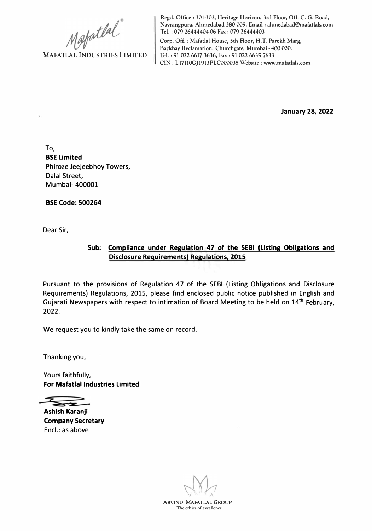**MAFATLAL INDUSTRIES LIMITED** 

**Regd. Office: 301-302, Heritage Horizon, 3rd Floor, Off. C. G. Road, Navrangpura, Ahmedabad 380 009. Email : ahmedabad@mafatlals.com Tel. : 079 26444404-06 Fax : 079 26444403** 

**Corp. Off. : Mafatlal House, 5th Floor, H.T. Parekh Marg, Backbay Reclamation, Churchgate, Mumbai • 400 020. Tel. : 91 022 6617 3636, Fax: 91 022 6635 7633 CIN: Ll7110GJ1913PLC000035 Website: www.mafatlals.com** 

**January 28, 2022** 

To, **BSE Limited**  Phiroze Jeejeebhoy Towers, Dalal Street, Mumbai- 400001

**BSE Code: 500264** 

Dear Sir,

## **Sub: Compliance under Regulation 47 of the SEBI (Listing Obligations and Disclosure Requirements) Regulations, 2015**

Pursuant to the provisions of Regulation 47 of the SEBI (Listing Obligations and Disclosure Requirements) Regulations, 2015, please find enclosed public notice published in English and Gujarati Newspapers with respect to intimation of Board Meeting to be held on 14<sup>th</sup> February, 2022.

We request you to kindly take the same on record.

Thanking you,

Yours faithfully, **For Mafatlal Industries Limited** 

 $\overline{\phantom{m}}$ 

**Ashish Karanji Company Secretary**  Encl.: as above

**ARVIND MAFATIAL GROUP The ethics of excellence**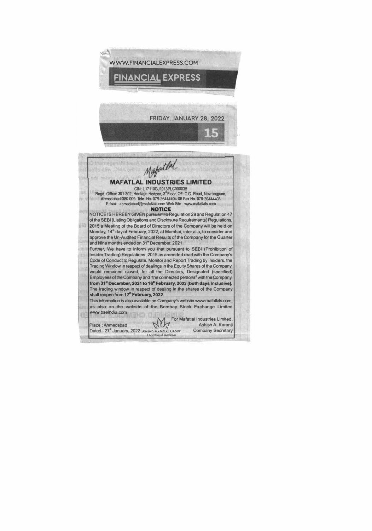